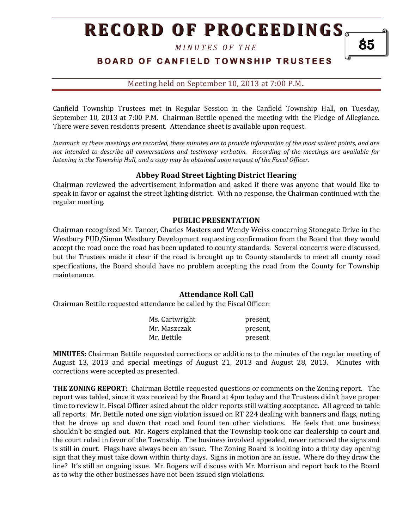*M I N U T E S O F T H E* 

## **BOARD OF CANFIELD TOWNSHIP TRUSTEES**

85

Meeting held on September 10, 2013 at 7:00 P.M**.**

Canfield Township Trustees met in Regular Session in the Canfield Township Hall, on Tuesday, September 10, 2013 at 7:00 P.M. Chairman Bettile opened the meeting with the Pledge of Allegiance. There were seven residents present. Attendance sheet is available upon request.

*Inasmuch as these meetings are recorded, these minutes are to provide information of the most salient points, and are not intended to describe all conversations and testimony verbatim. Recording of the meetings are available for listening in the Township Hall, and a copy may be obtained upon request of the Fiscal Officer.* 

### **Abbey Road Street Lighting District Hearing**

Chairman reviewed the advertisement information and asked if there was anyone that would like to speak in favor or against the street lighting district. With no response, the Chairman continued with the regular meeting.

### **PUBLIC PRESENTATION**

Chairman recognized Mr. Tancer, Charles Masters and Wendy Weiss concerning Stonegate Drive in the Westbury PUD/Simon Westbury Development requesting confirmation from the Board that they would accept the road once the road has been updated to county standards. Several concerns were discussed, but the Trustees made it clear if the road is brought up to County standards to meet all county road specifications, the Board should have no problem accepting the road from the County for Township maintenance.

#### **Attendance Roll Call**

Chairman Bettile requested attendance be called by the Fiscal Officer:

| Ms. Cartwright | present, |
|----------------|----------|
| Mr. Maszczak   | present, |
| Mr. Bettile    | present  |

**MINUTES:** Chairman Bettile requested corrections or additions to the minutes of the regular meeting of August 13, 2013 and special meetings of August 21, 2013 and August 28, 2013. Minutes with corrections were accepted as presented.

**THE ZONING REPORT:** Chairman Bettile requested questions or comments on the Zoning report. The report was tabled, since it was received by the Board at 4pm today and the Trustees didn't have proper time to review it. Fiscal Officer asked about the older reports still waiting acceptance. All agreed to table all reports. Mr. Bettile noted one sign violation issued on RT 224 dealing with banners and flags, noting that he drove up and down that road and found ten other violations. He feels that one business shouldn't be singled out. Mr. Rogers explained that the Township took one car dealership to court and the court ruled in favor of the Township. The business involved appealed, never removed the signs and is still in court. Flags have always been an issue. The Zoning Board is looking into a thirty day opening sign that they must take down within thirty days. Signs in motion are an issue. Where do they draw the line? It's still an ongoing issue. Mr. Rogers will discuss with Mr. Morrison and report back to the Board as to why the other businesses have not been issued sign violations.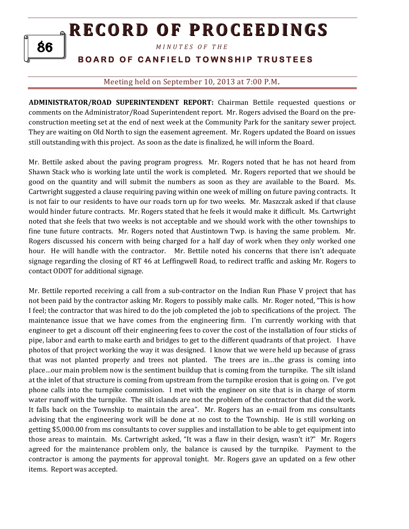*M I N U T E S O F T H E* 

# **BOARD OF CANFIELD TOWNSHIP TRUSTEES**

## Meeting held on September 10, 2013 at 7:00 P.M**.**

**ADMINISTRATOR/ROAD SUPERINTENDENT REPORT:** Chairman Bettile requested questions or comments on the Administrator/Road Superintendent report. Mr. Rogers advised the Board on the preconstruction meeting set at the end of next week at the Community Park for the sanitary sewer project. They are waiting on Old North to sign the easement agreement. Mr. Rogers updated the Board on issues still outstanding with this project. As soon as the date is finalized, he will inform the Board.

Mr. Bettile asked about the paving program progress. Mr. Rogers noted that he has not heard from Shawn Stack who is working late until the work is completed. Mr. Rogers reported that we should be good on the quantity and will submit the numbers as soon as they are available to the Board. Ms. Cartwright suggested a clause requiring paving within one week of milling on future paving contracts. It is not fair to our residents to have our roads torn up for two weeks. Mr. Maszczak asked if that clause would hinder future contracts. Mr. Rogers stated that he feels it would make it difficult. Ms. Cartwright noted that she feels that two weeks is not acceptable and we should work with the other townships to fine tune future contracts. Mr. Rogers noted that Austintown Twp. is having the same problem. Mr. Rogers discussed his concern with being charged for a half day of work when they only worked one hour. He will handle with the contractor. Mr. Bettile noted his concerns that there isn't adequate signage regarding the closing of RT 46 at Leffingwell Road, to redirect traffic and asking Mr. Rogers to contact ODOT for additional signage.

Mr. Bettile reported receiving a call from a sub-contractor on the Indian Run Phase V project that has not been paid by the contractor asking Mr. Rogers to possibly make calls. Mr. Roger noted, "This is how I feel; the contractor that was hired to do the job completed the job to specifications of the project. The maintenance issue that we have comes from the engineering firm. I'm currently working with that engineer to get a discount off their engineering fees to cover the cost of the installation of four sticks of pipe, labor and earth to make earth and bridges to get to the different quadrants of that project. I have photos of that project working the way it was designed. I know that we were held up because of grass that was not planted properly and trees not planted. The trees are in…the grass is coming into place…our main problem now is the sentiment buildup that is coming from the turnpike. The silt island at the inlet of that structure is coming from upstream from the turnpike erosion that is going on. I've got phone calls into the turnpike commission. I met with the engineer on site that is in charge of storm water runoff with the turnpike. The silt islands are not the problem of the contractor that did the work. It falls back on the Township to maintain the area". Mr. Rogers has an e-mail from ms consultants advising that the engineering work will be done at no cost to the Township. He is still working on getting \$5,000.00 from ms consultants to cover supplies and installation to be able to get equipment into those areas to maintain. Ms. Cartwright asked, "It was a flaw in their design, wasn't it?" Mr. Rogers agreed for the maintenance problem only, the balance is caused by the turnpike. Payment to the contractor is among the payments for approval tonight. Mr. Rogers gave an updated on a few other items. Report was accepted.

86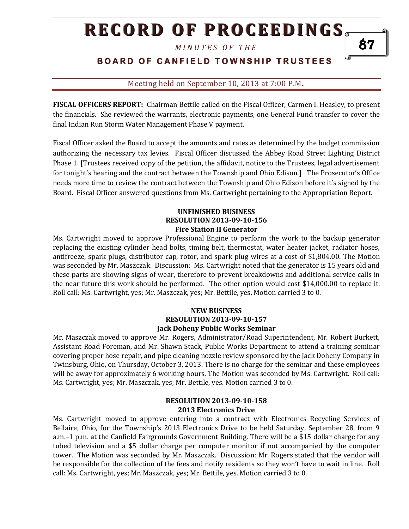*M I N U T E S O F T H E* 

## **BOARD OF CANFIELD TOWNSHIP TRUSTEES**

87

### Meeting held on September 10, 2013 at 7:00 P.M**.**

**FISCAL OFFICERS REPORT:** Chairman Bettile called on the Fiscal Officer, Carmen I. Heasley, to present the financials. She reviewed the warrants, electronic payments, one General Fund transfer to cover the final Indian Run Storm Water Management Phase V payment.

Fiscal Officer asked the Board to accept the amounts and rates as determined by the budget commission authorizing the necessary tax levies. Fiscal Officer discussed the Abbey Road Street Lighting District Phase 1. [Trustees received copy of the petition, the affidavit, notice to the Trustees, legal advertisement for tonight's hearing and the contract between the Township and Ohio Edison.] The Prosecutor's Office needs more time to review the contract between the Township and Ohio Edison before it's signed by the Board. Fiscal Officer answered questions from Ms. Cartwright pertaining to the Appropriation Report.

### **UNFINISHED BUSINESS RESOLUTION 2013-09-10-156 Fire Station II Generator**

Ms. Cartwright moved to approve Professional Engine to perform the work to the backup generator replacing the existing cylinder head bolts, timing belt, thermostat, water heater jacket, radiator hoses, antifreeze, spark plugs, distributor cap, rotor, and spark plug wires at a cost of \$1,804.00. The Motion was seconded by Mr. Maszczak. Discussion: Ms. Cartwright noted that the generator is 15 years old and these parts are showing signs of wear, therefore to prevent breakdowns and additional service calls in the near future this work should be performed. The other option would cost \$14,000.00 to replace it. Roll call: Ms. Cartwright, yes; Mr. Maszczak, yes; Mr. Bettile, yes. Motion carried 3 to 0.

### **NEW BUSINESS RESOLUTION 2013-09-10-157 Jack Doheny Public Works Seminar**

Mr. Maszczak moved to approve Mr. Rogers, Administrator/Road Superintendent, Mr. Robert Burkett, Assistant Road Foreman, and Mr. Shawn Stack, Public Works Department to attend a training seminar covering proper hose repair, and pipe cleaning nozzle review sponsored by the Jack Doheny Company in Twinsburg, Ohio, on Thursday, October 3, 2013. There is no charge for the seminar and these employees will be away for approximately 6 working hours. The Motion was seconded by Ms. Cartwright. Roll call: Ms. Cartwright, yes; Mr. Maszczak, yes; Mr. Bettile, yes. Motion carried 3 to 0.

### **RESOLUTION 2013-09-10-158 2013 Electronics Drive**

Ms. Cartwright moved to approve entering into a contract with Electronics Recycling Services of Bellaire, Ohio, for the Township's 2013 Electronics Drive to be held Saturday, September 28, from 9 a.m.–1 p.m. at the Canfield Fairgrounds Government Building. There will be a \$15 dollar charge for any tubed television and a \$5 dollar charge per computer monitor if not accompanied by the computer tower. The Motion was seconded by Mr. Maszczak. Discussion: Mr. Rogers stated that the vendor will be responsible for the collection of the fees and notify residents so they won't have to wait in line. Roll call: Ms. Cartwright, yes; Mr. Maszczak, yes; Mr. Bettile, yes. Motion carried 3 to 0.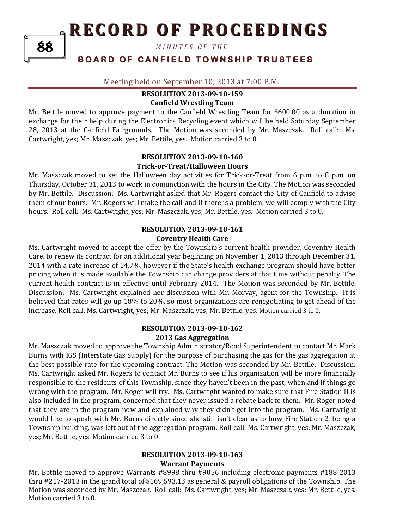*M I N U T E S O F T H E* 

## **BOARD OF CANFIELD TOWNSHIP TRUSTEES**

Meeting held on September 10, 2013 at 7:00 P.M**.**

#### **RESOLUTION 2013-09-10-159 Canfield Wrestling Team**

Mr. Bettile moved to approve payment to the Canfield Wrestling Team for \$600.00 as a donation in exchange for their help during the Electronics Recycling event which will be held Saturday September 28, 2013 at the Canfield Fairgrounds. The Motion was seconded by Mr. Maszczak. Roll call: Ms. Cartwright, yes; Mr. Maszczak, yes; Mr. Bettile, yes. Motion carried 3 to 0.

#### **RESOLUTION 2013-09-10-160 Trick-or-Treat/Halloween Hours**

Mr. Maszczak moved to set the Halloween day activities for Trick-or-Treat from 6 p.m. to 8 p.m. on Thursday, October 31, 2013 to work in conjunction with the hours in the City. The Motion was seconded by Mr. Bettile. Discussion: Ms. Cartwright asked that Mr. Rogers contact the City of Canfield to advise them of our hours. Mr. Rogers will make the call and if there is a problem, we will comply with the City hours. Roll call: Ms. Cartwright, yes; Mr. Maszczak, yes; Mr. Bettile, yes. Motion carried 3 to 0.

#### **RESOLUTION 2013-09-10-161 Coventry Health Care**

Ms. Cartwright moved to accept the offer by the Township's current health provider, Coventry Health Care, to renew its contract for an additional year beginning on November 1, 2013 through December 31, 2014 with a rate increase of 14.7%, however if the State's health exchange program should have better pricing when it is made available the Township can change providers at that time without penalty. The current health contract is in effective until February 2014. The Motion was seconded by Mr. Bettile. Discussion: Ms. Cartwright explained her discussion with Mr. Morvay, agent for the Township. It is believed that rates will go up 18% to 20%, so most organizations are renegotiating to get ahead of the increase. Roll call: Ms. Cartwright, yes; Mr. Maszczak, yes; Mr. Bettile, yes. Motion carried 3 to 0.

#### **RESOLUTION 2013-09-10-162 2013 Gas Aggregation**

Mr. Maszczak moved to approve the Township Administrator/Road Superintendent to contact Mr. Mark Burns with IGS (Interstate Gas Supply) for the purpose of purchasing the gas for the gas aggregation at the best possible rate for the upcoming contract. The Motion was seconded by Mr. Bettile. Discussion: Ms. Cartwright asked Mr. Rogers to contact Mr. Burns to see if his organization will be more financially responsible to the residents of this Township, since they haven't been in the past, when and if things go wrong with the program. Mr. Roger will try. Ms. Cartwright wanted to make sure that Fire Station II is also included in the program, concerned that they never issued a rebate back to them. Mr. Roger noted that they are in the program now and explained why they didn't get into the program. Ms. Cartwright would like to speak with Mr. Burns directly since she still isn't clear as to how Fire Station 2, being a Township building, was left out of the aggregation program. Roll call: Ms. Cartwright, yes; Mr. Maszczak, yes; Mr. Bettile, yes. Motion carried 3 to 0.

#### **RESOLUTION 2013-09-10-163 Warrant Payments**

Mr. Bettile moved to approve Warrants #8998 thru #9056 including electronic payments #188-2013 thru #217-2013 in the grand total of \$169,593.13 as general & payroll obligations of the Township. The Motion was seconded by Mr. Maszczak. Roll call: Ms. Cartwright, yes; Mr. Maszczak, yes; Mr. Bettile, yes. Motion carried 3 to 0.

88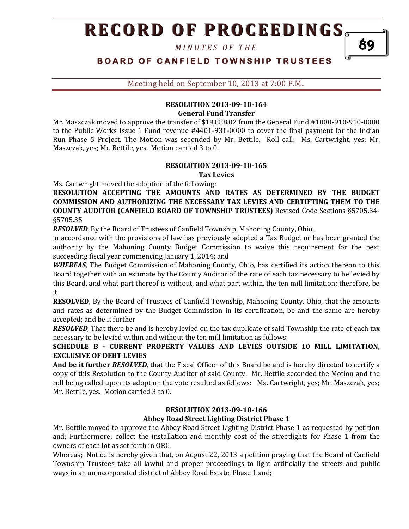*M I N U T E S O F T H E* 

89

# **BOARD OF CANFIELD TOWNSHIP TRUSTEES**

Meeting held on September 10, 2013 at 7:00 P.M**.**

## **RESOLUTION 2013-09-10-164 General Fund Transfer**

Mr. Maszczak moved to approve the transfer of \$19,888.02 from the General Fund #1000-910-910-0000 to the Public Works Issue 1 Fund revenue #4401-931-0000 to cover the final payment for the Indian Run Phase 5 Project. The Motion was seconded by Mr. Bettile. Roll call: Ms. Cartwright, yes; Mr. Maszczak, yes; Mr. Bettile, yes. Motion carried 3 to 0.

## **RESOLUTION 2013-09-10-165**

**Tax Levies**

Ms. Cartwright moved the adoption of the following:

**RESOLUTION ACCEPTING THE AMOUNTS AND RATES AS DETERMINED BY THE BUDGET COMMISSION AND AUTHORIZING THE NECESSARY TAX LEVIES AND CERTIFTING THEM TO THE COUNTY AUDITOR (CANFIELD BOARD OF TOWNSHIP TRUSTEES)** Revised Code Sections §5705.34- §5705.35

*RESOLVED,* By the Board of Trustees of Canfield Township, Mahoning County, Ohio,

in accordance with the provisions of law has previously adopted a Tax Budget or has been granted the authority by the Mahoning County Budget Commission to waive this requirement for the next succeeding fiscal year commencing January 1, 2014; and

*WHEREAS,* The Budget Commission of Mahoning County, Ohio, has certified its action thereon to this Board together with an estimate by the County Auditor of the rate of each tax necessary to be levied by this Board, and what part thereof is without, and what part within, the ten mill limitation; therefore, be it

**RESOLVED**, By the Board of Trustees of Canfield Township, Mahoning County, Ohio, that the amounts and rates as determined by the Budget Commission in its certification, be and the same are hereby accepted; and be it further

*RESOLVED,* That there be and is hereby levied on the tax duplicate of said Township the rate of each tax necessary to be levied within and without the ten mill limitation as follows:

### **SCHEDULE B - CURRENT PROPERTY VALUES AND LEVIES OUTSIDE 10 MILL LIMITATION, EXCLUSIVE OF DEBT LEVIES**

**And be it further** *RESOLVED,* that the Fiscal Officer of this Board be and is hereby directed to certify a copy of this Resolution to the County Auditor of said County. Mr. Bettile seconded the Motion and the roll being called upon its adoption the vote resulted as follows: Ms. Cartwright, yes; Mr. Maszczak, yes; Mr. Bettile, yes. Motion carried 3 to 0.

### **RESOLUTION 2013-09-10-166**

#### **Abbey Road Street Lighting District Phase 1**

Mr. Bettile moved to approve the Abbey Road Street Lighting District Phase 1 as requested by petition and; Furthermore; collect the installation and monthly cost of the streetlights for Phase 1 from the owners of each lot as set forth in ORC.

Whereas; Notice is hereby given that, on August 22, 2013 a petition praying that the Board of Canfield Township Trustees take all lawful and proper proceedings to light artificially the streets and public ways in an unincorporated district of Abbey Road Estate, Phase 1 and;